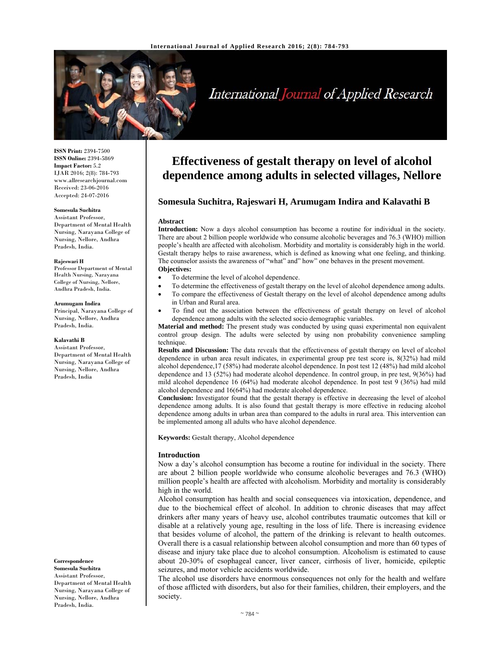

# International Journal of Applied Research

**ISSN Print:** 2394-7500 **ISSN Online:** 2394-5869 **Impact Factor:** 5.2 IJAR 2016; 2(8): 784-793 www.allresearchjournal.com Received: 23-06-2016 Accepted: 24-07-2016

#### **Somesula Suchitra**

Assistant Professor, Department of Mental Health Nursing, Narayana College of Nursing, Nellore, Andhra Pradesh, India.

#### **Rajeswari H**

Professor Department of Mental Health Nursing, Narayana College of Nursing, Nellore, Andhra Pradesh, India.

#### **Arumugam Indira**

Principal, Narayana College of Nursing, Nellore, Andhra Pradesh, India.

#### **Kalavathi B**

Assistant Professor, Department of Mental Health Nursing, Narayana College of Nursing, Nellore, Andhra Pradesh, India

**Correspondence**

**Somesula Suchitra**  Assistant Professor, Department of Mental Health Nursing, Narayana College of Nursing, Nellore, Andhra Pradesh, India.

# **Effectiveness of gestalt therapy on level of alcohol dependence among adults in selected villages, Nellore**

## **Somesula Suchitra, Rajeswari H, Arumugam Indira and Kalavathi B**

#### **Abstract**

**Introduction:** Now a days alcohol consumption has become a routine for individual in the society. There are about 2 billion people worldwide who consume alcoholic beverages and 76.3 (WHO) million people's health are affected with alcoholism. Morbidity and mortality is considerably high in the world. Gestalt therapy helps to raise awareness, which is defined as knowing what one feeling, and thinking. The counselor assists the awareness of "what" and" how" one behaves in the present movement. **Objectives:** 

- To determine the level of alcohol dependence.
- To determine the effectiveness of gestalt therapy on the level of alcohol dependence among adults.
- To compare the effectiveness of Gestalt therapy on the level of alcohol dependence among adults in Urban and Rural area.
- To find out the association between the effectiveness of gestalt therapy on level of alcohol dependence among adults with the selected socio demographic variables.

**Material and method:** The present study was conducted by using quasi experimental non equivalent control group design. The adults were selected by using non probability convenience sampling technique.

**Results and Discussion:** The data reveals that the effectiveness of gestalt therapy on level of alcohol dependence in urban area result indicates, in experimental group pre test score is, 8(32%) had mild alcohol dependence,17 (58%) had moderate alcohol dependence. In post test 12 (48%) had mild alcohol dependence and 13 (52%) had moderate alcohol dependence. In control group, in pre test, 9(36%) had mild alcohol dependence 16 (64%) had moderate alcohol dependence. In post test 9 (36%) had mild alcohol dependence and 16(64%) had moderate alcohol dependence.

**Conclusion:** Investigator found that the gestalt therapy is effective in decreasing the level of alcohol dependence among adults. It is also found that gestalt therapy is more effective in reducing alcohol dependence among adults in urban area than compared to the adults in rural area. This intervention can be implemented among all adults who have alcohol dependence.

**Keywords:** Gestalt therapy, Alcohol dependence

#### **Introduction**

Now a day's alcohol consumption has become a routine for individual in the society. There are about 2 billion people worldwide who consume alcoholic beverages and 76.3 (WHO) million people's health are affected with alcoholism. Morbidity and mortality is considerably high in the world.

Alcohol consumption has health and social consequences via intoxication, dependence, and due to the biochemical effect of alcohol. In addition to chronic diseases that may affect drinkers after many years of heavy use, alcohol contributes traumatic outcomes that kill or disable at a relatively young age, resulting in the loss of life. There is increasing evidence that besides volume of alcohol, the pattern of the drinking is relevant to health outcomes. Overall there is a casual relationship between alcohol consumption and more than 60 types of disease and injury take place due to alcohol consumption. Alcoholism is estimated to cause about 20-30% of esophageal cancer, liver cancer, cirrhosis of liver, homicide, epileptic seizures, and motor vehicle accidents worldwide.

The alcohol use disorders have enormous consequences not only for the health and welfare of those afflicted with disorders, but also for their families, children, their employers, and the society.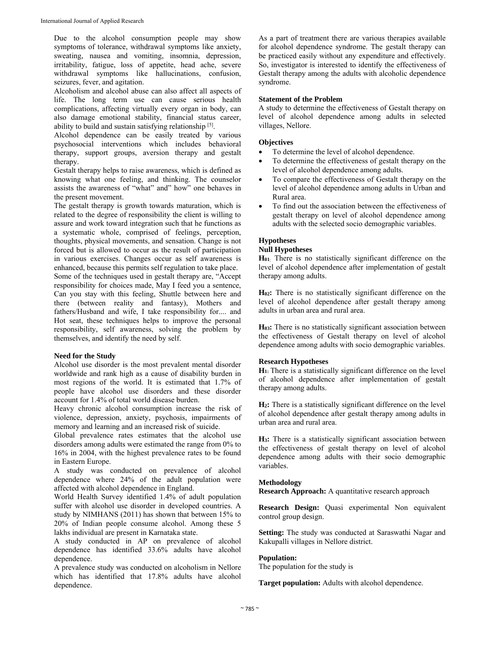Due to the alcohol consumption people may show symptoms of tolerance, withdrawal symptoms like anxiety, sweating, nausea and vomiting, insomnia, depression, irritability, fatigue, loss of appetite, head ache, severe withdrawal symptoms like hallucinations, confusion, seizures, fever, and agitation.

Alcoholism and alcohol abuse can also affect all aspects of life. The long term use can cause serious health complications, affecting virtually every organ in body, can also damage emotional stability, financial status career, ability to build and sustain satisfying relationship [5].

Alcohol dependence can be easily treated by various psychosocial interventions which includes behavioral therapy, support groups, aversion therapy and gestalt therapy.

Gestalt therapy helps to raise awareness, which is defined as knowing what one feeling, and thinking. The counselor assists the awareness of "what" and" how" one behaves in the present movement.

The gestalt therapy is growth towards maturation, which is related to the degree of responsibility the client is willing to assure and work toward integration such that he functions as a systematic whole, comprised of feelings, perception, thoughts, physical movements, and sensation. Change is not forced but is allowed to occur as the result of participation in various exercises. Changes occur as self awareness is enhanced, because this permits self regulation to take place. Some of the techniques used in gestalt therapy are, "Accept responsibility for choices made, May I feed you a sentence, Can you stay with this feeling, Shuttle between here and there (between reality and fantasy), Mothers and fathers/Husband and wife, I take responsibility for.... and Hot seat, these techniques helps to improve the personal responsibility, self awareness, solving the problem by themselves, and identify the need by self.

#### **Need for the Study**

Alcohol use disorder is the most prevalent mental disorder worldwide and rank high as a cause of disability burden in most regions of the world. It is estimated that 1.7% of people have alcohol use disorders and these disorder account for 1.4% of total world disease burden.

Heavy chronic alcohol consumption increase the risk of violence, depression, anxiety, psychosis, impairments of memory and learning and an increased risk of suicide.

Global prevalence rates estimates that the alcohol use disorders among adults were estimated the range from 0% to 16% in 2004, with the highest prevalence rates to be found in Eastern Europe.

A study was conducted on prevalence of alcohol dependence where 24% of the adult population were affected with alcohol dependence in England.

World Health Survey identified 1.4% of adult population suffer with alcohol use disorder in developed countries. A study by NIMHANS (2011) has shown that between 15% to 20% of Indian people consume alcohol. Among these 5 lakhs individual are present in Karnataka state.

A study conducted in AP on prevalence of alcohol dependence has identified 33.6% adults have alcohol dependence.

A prevalence study was conducted on alcoholism in Nellore which has identified that 17.8% adults have alcohol dependence.

As a part of treatment there are various therapies available for alcohol dependence syndrome. The gestalt therapy can be practiced easily without any expenditure and effectively. So, investigator is interested to identify the effectiveness of Gestalt therapy among the adults with alcoholic dependence syndrome.

### **Statement of the Problem**

A study to determine the effectiveness of Gestalt therapy on level of alcohol dependence among adults in selected villages, Nellore.

#### **Objectives**

- To determine the level of alcohol dependence.
- To determine the effectiveness of gestalt therapy on the level of alcohol dependence among adults.
- To compare the effectiveness of Gestalt therapy on the level of alcohol dependence among adults in Urban and Rural area.
- To find out the association between the effectiveness of gestalt therapy on level of alcohol dependence among adults with the selected socio demographic variables.

# **Hypotheses**

# **Null Hypotheses**

**H01**: There is no statistically significant difference on the level of alcohol dependence after implementation of gestalt therapy among adults.

**H02:** There is no statistically significant difference on the level of alcohol dependence after gestalt therapy among adults in urban area and rural area.

**H03:** There is no statistically significant association between the effectiveness of Gestalt therapy on level of alcohol dependence among adults with socio demographic variables.

#### **Research Hypotheses**

**H1:** There is a statistically significant difference on the level of alcohol dependence after implementation of gestalt therapy among adults.

**H2:** There is a statistically significant difference on the level of alcohol dependence after gestalt therapy among adults in urban area and rural area.

**H3:** There is a statistically significant association between the effectiveness of gestalt therapy on level of alcohol dependence among adults with their socio demographic variables.

#### **Methodology**

**Research Approach:** A quantitative research approach

**Research Design:** Quasi experimental Non equivalent control group design.

**Setting:** The study was conducted at Saraswathi Nagar and Kakupalli villages in Nellore district.

#### **Population:**

The population for the study is

**Target population:** Adults with alcohol dependence.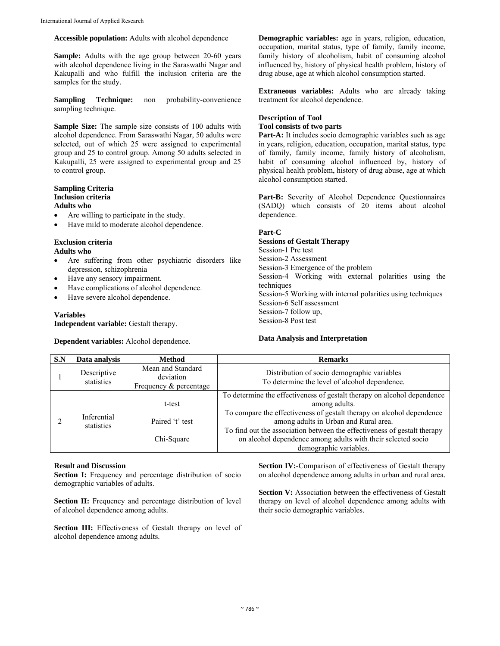## **Accessible population:** Adults with alcohol dependence

**Sample:** Adults with the age group between 20-60 years with alcohol dependence living in the Saraswathi Nagar and Kakupalli and who fulfill the inclusion criteria are the samples for the study.

**Sampling Technique:** non probability-convenience sampling technique.

**Sample Size:** The sample size consists of 100 adults with alcohol dependence. From Saraswathi Nagar, 50 adults were selected, out of which 25 were assigned to experimental group and 25 to control group. Among 50 adults selected in Kakupalli, 25 were assigned to experimental group and 25 to control group.

## **Sampling Criteria Inclusion criteria**

### **Adults who**

- Are willing to participate in the study.
- Have mild to moderate alcohol dependence.

# **Exclusion criteria**

# **Adults who**

- Are suffering from other psychiatric disorders like depression, schizophrenia
- Have any sensory impairment.
- Have complications of alcohol dependence.
- Have severe alcohol dependence.

## **Variables**

**Independent variable:** Gestalt therapy.

**Dependent variables:** Alcohol dependence.

**Demographic variables:** age in years, religion, education, occupation, marital status, type of family, family income, family history of alcoholism, habit of consuming alcohol influenced by, history of physical health problem, history of drug abuse, age at which alcohol consumption started.

**Extraneous variables:** Adults who are already taking treatment for alcohol dependence.

### **Description of Tool Tool consists of two parts**

Part-A: It includes socio demographic variables such as age in years, religion, education, occupation, marital status, type of family, family income, family history of alcoholism, habit of consuming alcohol influenced by, history of physical health problem, history of drug abuse, age at which alcohol consumption started.

Part-B: Severity of Alcohol Dependence Questionnaires (SADQ) which consists of 20 items about alcohol dependence.

## **Part-C**

**Sessions of Gestalt Therapy**  Session-1 Pre test Session-2 Assessment Session-3 Emergence of the problem Session-4 Working with external polarities using the techniques Session-5 Working with internal polarities using techniques Session-6 Self assessment Session-7 follow up, Session-8 Post test

## **Data Analysis and Interpretation**

| S.N | Data analysis             | <b>Method</b>                                            | <b>Remarks</b>                                                                                                                                                                                                                                                                                                                                                                   |
|-----|---------------------------|----------------------------------------------------------|----------------------------------------------------------------------------------------------------------------------------------------------------------------------------------------------------------------------------------------------------------------------------------------------------------------------------------------------------------------------------------|
|     | Descriptive<br>statistics | Mean and Standard<br>deviation<br>Frequency & percentage | Distribution of socio demographic variables<br>To determine the level of alcohol dependence.                                                                                                                                                                                                                                                                                     |
|     | Inferential<br>statistics | t-test<br>Paired 't' test<br>Chi-Square                  | To determine the effectiveness of gestalt therapy on alcohol dependence<br>among adults.<br>To compare the effectiveness of gestalt therapy on alcohol dependence<br>among adults in Urban and Rural area.<br>To find out the association between the effectiveness of gestalt therapy<br>on alcohol dependence among adults with their selected socio<br>demographic variables. |

## **Result and Discussion**

Section I: Frequency and percentage distribution of socio demographic variables of adults.

**Section II:** Frequency and percentage distribution of level of alcohol dependence among adults.

Section III: Effectiveness of Gestalt therapy on level of alcohol dependence among adults.

**Section IV:-**Comparison of effectiveness of Gestalt therapy on alcohol dependence among adults in urban and rural area.

Section V: Association between the effectiveness of Gestalt therapy on level of alcohol dependence among adults with their socio demographic variables.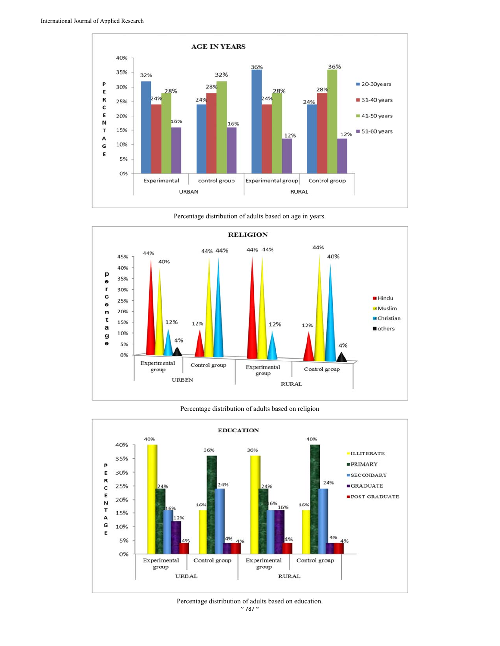



Percentage distribution of adults based on age in years.

#### Percentage distribution of adults based on religion



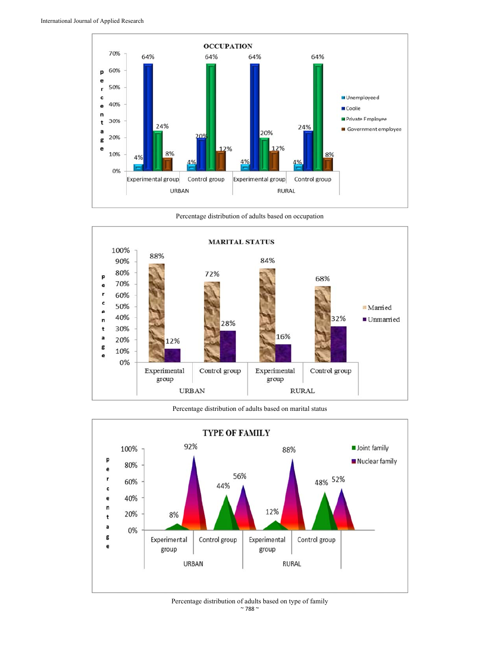

Percentage distribution of adults based on occupation



Percentage distribution of adults based on marital status



 $\sim$  788  $\sim$ Percentage distribution of adults based on type of family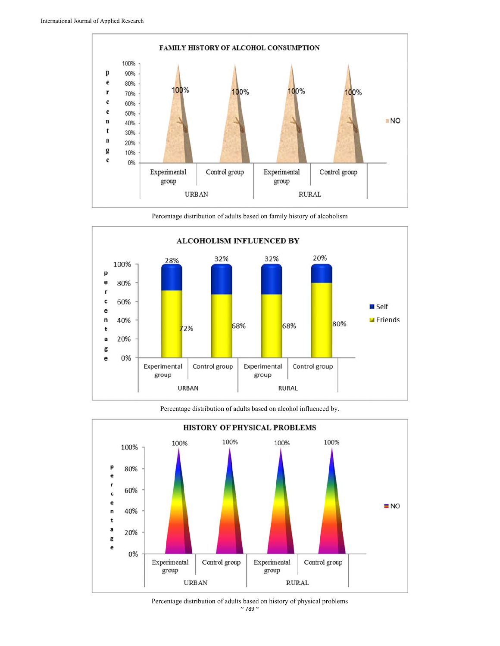

Percentage distribution of adults based on family history of alcoholism



Percentage distribution of adults based on alcohol influenced by.



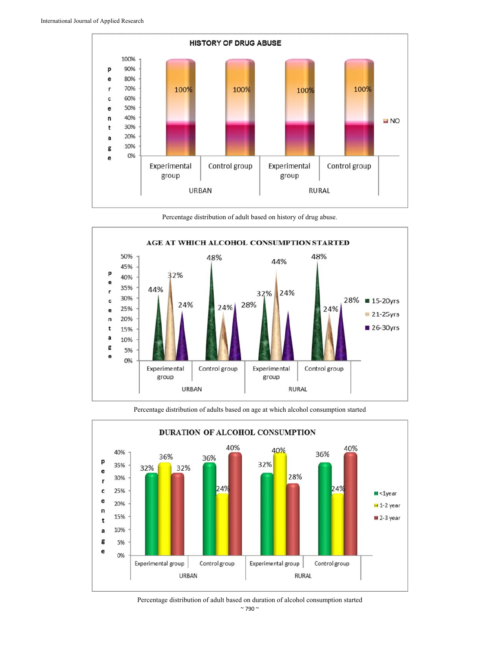

Percentage distribution of adult based on history of drug abuse.





Percentage distribution of adults based on age at which alcohol consumption started

Percentage distribution of adult based on duration of alcohol consumption started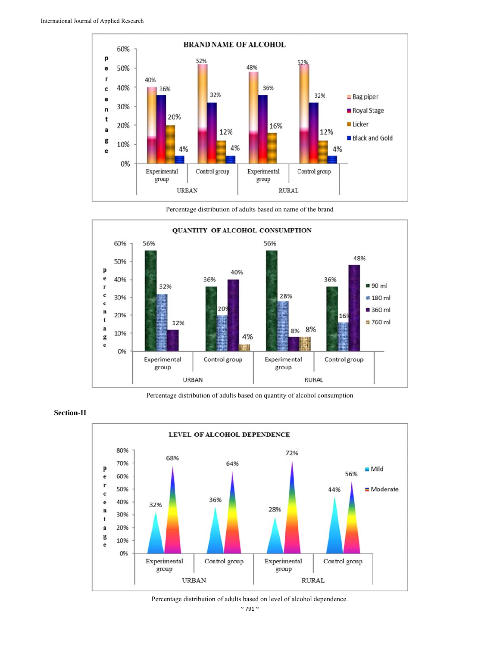

Percentage distribution of adults based on name of the brand



Percentage distribution of adults based on quantity of alcohol consumption



## **Section-II**

Percentage distribution of adults based on level of alcohol dependence.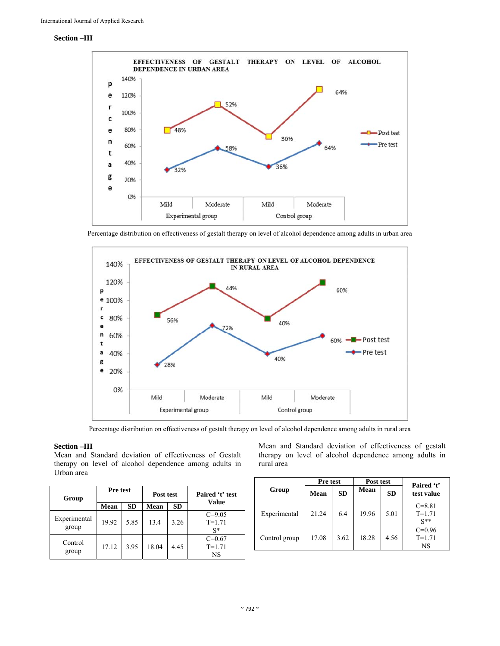### **Section –III**



Percentage distribution on effectiveness of gestalt therapy on level of alcohol dependence among adults in urban area



Percentage distribution on effectiveness of gestalt therapy on level of alcohol dependence among adults in rural area

#### **Section –III**

Mean and Standard deviation of effectiveness of Gestalt therapy on level of alcohol dependence among adults in Urban area

| Group                 | <b>Pre test</b> |           | Post test   |           | Paired 't' test                   |
|-----------------------|-----------------|-----------|-------------|-----------|-----------------------------------|
|                       | Mean            | <b>SD</b> | <b>Mean</b> | <b>SD</b> | Value                             |
| Experimental<br>group | 19.92           | 5.85      | 13.4        | 3.26      | $C = 9.05$<br>$T = 1.71$<br>$S^*$ |
| Control<br>group      | 17.12           | 3.95      | 18.04       | 4.45      | $C = 0.67$<br>$T = 1.71$<br>NS    |

Mean and Standard deviation of effectiveness of gestalt therapy on level of alcohol dependence among adults in rural area

|               | <b>Pre test</b> |           | Post test   |           | Paired 't'                           |
|---------------|-----------------|-----------|-------------|-----------|--------------------------------------|
| Group         | Mean            | <b>SD</b> | <b>Mean</b> | <b>SD</b> | test value                           |
| Experimental  | 21.24           | 6.4       | 19.96       | 5.01      | $C = 8.81$<br>$T = 1.71$<br>$S^{**}$ |
| Control group | 17.08           | 3.62      | 18.28       | 4.56      | $C=0.96$<br>$T = 1.71$<br>NS         |